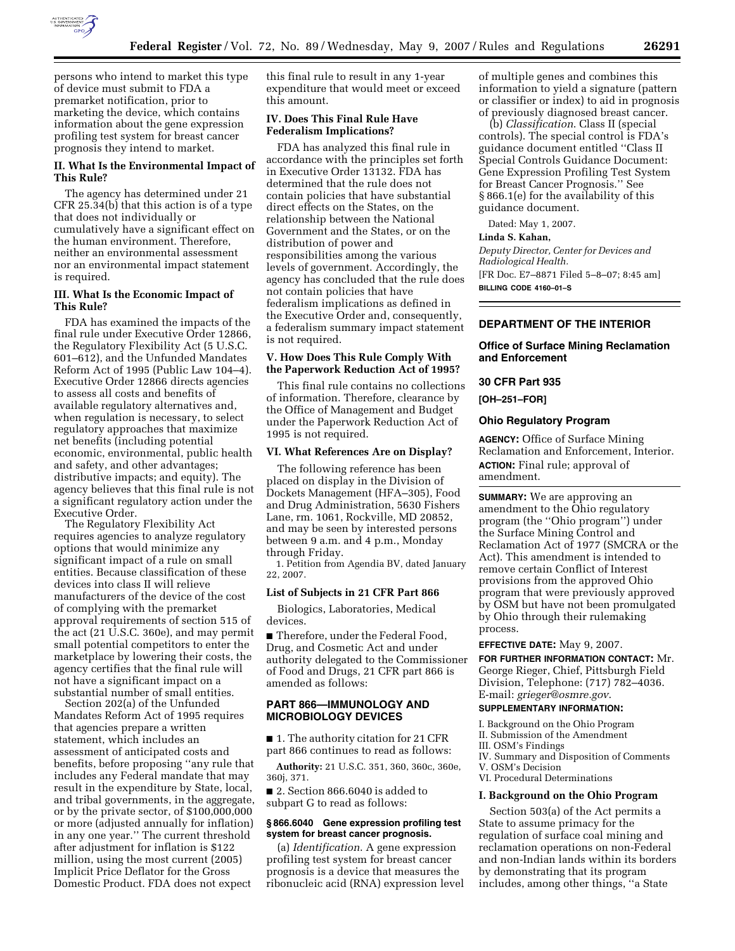

persons who intend to market this type of device must submit to FDA a premarket notification, prior to marketing the device, which contains information about the gene expression profiling test system for breast cancer prognosis they intend to market.

# **II. What Is the Environmental Impact of This Rule?**

The agency has determined under 21 CFR 25.34(b) that this action is of a type that does not individually or cumulatively have a significant effect on the human environment. Therefore, neither an environmental assessment nor an environmental impact statement is required.

# **III. What Is the Economic Impact of This Rule?**

FDA has examined the impacts of the final rule under Executive Order 12866, the Regulatory Flexibility Act (5 U.S.C. 601–612), and the Unfunded Mandates Reform Act of 1995 (Public Law 104–4). Executive Order 12866 directs agencies to assess all costs and benefits of available regulatory alternatives and, when regulation is necessary, to select regulatory approaches that maximize net benefits (including potential economic, environmental, public health and safety, and other advantages; distributive impacts; and equity). The agency believes that this final rule is not a significant regulatory action under the Executive Order.

The Regulatory Flexibility Act requires agencies to analyze regulatory options that would minimize any significant impact of a rule on small entities. Because classification of these devices into class II will relieve manufacturers of the device of the cost of complying with the premarket approval requirements of section 515 of the act (21 U.S.C. 360e), and may permit small potential competitors to enter the marketplace by lowering their costs, the agency certifies that the final rule will not have a significant impact on a substantial number of small entities.

Section 202(a) of the Unfunded Mandates Reform Act of 1995 requires that agencies prepare a written statement, which includes an assessment of anticipated costs and benefits, before proposing ''any rule that includes any Federal mandate that may result in the expenditure by State, local, and tribal governments, in the aggregate, or by the private sector, of \$100,000,000 or more (adjusted annually for inflation) in any one year.'' The current threshold after adjustment for inflation is \$122 million, using the most current (2005) Implicit Price Deflator for the Gross Domestic Product. FDA does not expect

this final rule to result in any 1-year expenditure that would meet or exceed this amount.

## **IV. Does This Final Rule Have Federalism Implications?**

FDA has analyzed this final rule in accordance with the principles set forth in Executive Order 13132. FDA has determined that the rule does not contain policies that have substantial direct effects on the States, on the relationship between the National Government and the States, or on the distribution of power and responsibilities among the various levels of government. Accordingly, the agency has concluded that the rule does not contain policies that have federalism implications as defined in the Executive Order and, consequently, a federalism summary impact statement is not required.

# **V. How Does This Rule Comply With the Paperwork Reduction Act of 1995?**

This final rule contains no collections of information. Therefore, clearance by the Office of Management and Budget under the Paperwork Reduction Act of 1995 is not required.

## **VI. What References Are on Display?**

The following reference has been placed on display in the Division of Dockets Management (HFA–305), Food and Drug Administration, 5630 Fishers Lane, rm. 1061, Rockville, MD 20852, and may be seen by interested persons between 9 a.m. and 4 p.m., Monday through Friday.

1. Petition from Agendia BV, dated January 22, 2007.

### **List of Subjects in 21 CFR Part 866**

Biologics, Laboratories, Medical devices.

■ Therefore, under the Federal Food, Drug, and Cosmetic Act and under authority delegated to the Commissioner of Food and Drugs, 21 CFR part 866 is amended as follows:

# **PART 866—IMMUNOLOGY AND MICROBIOLOGY DEVICES**

■ 1. The authority citation for 21 CFR part 866 continues to read as follows:

**Authority:** 21 U.S.C. 351, 360, 360c, 360e, 360j, 371.

■ 2. Section 866.6040 is added to subpart G to read as follows:

# **§ 866.6040 Gene expression profiling test system for breast cancer prognosis.**

(a) *Identification*. A gene expression profiling test system for breast cancer prognosis is a device that measures the ribonucleic acid (RNA) expression level of multiple genes and combines this information to yield a signature (pattern or classifier or index) to aid in prognosis of previously diagnosed breast cancer.

(b) *Classification*. Class II (special controls). The special control is FDA's guidance document entitled ''Class II Special Controls Guidance Document: Gene Expression Profiling Test System for Breast Cancer Prognosis.'' See § 866.1(e) for the availability of this guidance document.

Dated: May 1, 2007.

## **Linda S. Kahan,**

*Deputy Director, Center for Devices and Radiological Health.*  [FR Doc. E7–8871 Filed 5–8–07; 8:45 am] **BILLING CODE 4160–01–S** 

# **DEPARTMENT OF THE INTERIOR**

# **Office of Surface Mining Reclamation and Enforcement**

### **30 CFR Part 935**

**[OH–251–FOR]** 

## **Ohio Regulatory Program**

**AGENCY:** Office of Surface Mining Reclamation and Enforcement, Interior. **ACTION:** Final rule; approval of amendment.

**SUMMARY:** We are approving an amendment to the Ohio regulatory program (the ''Ohio program'') under the Surface Mining Control and Reclamation Act of 1977 (SMCRA or the Act). This amendment is intended to remove certain Conflict of Interest provisions from the approved Ohio program that were previously approved by OSM but have not been promulgated by Ohio through their rulemaking process.

# **EFFECTIVE DATE:** May 9, 2007.

**FOR FURTHER INFORMATION CONTACT:** Mr. George Rieger, Chief, Pittsburgh Field Division, Telephone: (717) 782–4036. E-mail: *grieger@osmre.gov*.

# **SUPPLEMENTARY INFORMATION:**

I. Background on the Ohio Program II. Submission of the Amendment III. OSM's Findings IV. Summary and Disposition of Comments V. OSM's Decision VI. Procedural Determinations

### **I. Background on the Ohio Program**

Section 503(a) of the Act permits a State to assume primacy for the regulation of surface coal mining and reclamation operations on non-Federal and non-Indian lands within its borders by demonstrating that its program includes, among other things, ''a State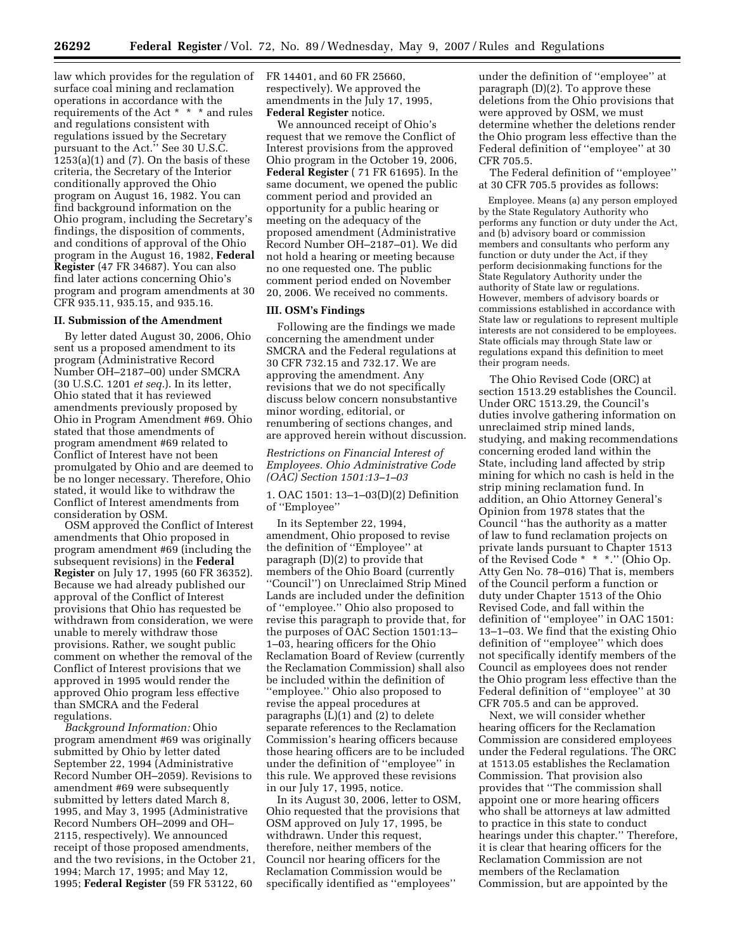law which provides for the regulation of surface coal mining and reclamation operations in accordance with the requirements of the Act \* \* \* and rules and regulations consistent with regulations issued by the Secretary pursuant to the Act.'' See 30 U.S.C. 1253(a)(1) and (7). On the basis of these criteria, the Secretary of the Interior conditionally approved the Ohio program on August 16, 1982. You can find background information on the Ohio program, including the Secretary's findings, the disposition of comments, and conditions of approval of the Ohio program in the August 16, 1982, **Federal Register** (47 FR 34687). You can also find later actions concerning Ohio's program and program amendments at 30 CFR 935.11, 935.15, and 935.16.

#### **II. Submission of the Amendment**

By letter dated August 30, 2006, Ohio sent us a proposed amendment to its program (Administrative Record Number OH–2187–00) under SMCRA (30 U.S.C. 1201 *et seq.*). In its letter, Ohio stated that it has reviewed amendments previously proposed by Ohio in Program Amendment #69. Ohio stated that those amendments of program amendment #69 related to Conflict of Interest have not been promulgated by Ohio and are deemed to be no longer necessary. Therefore, Ohio stated, it would like to withdraw the Conflict of Interest amendments from consideration by OSM.

OSM approved the Conflict of Interest amendments that Ohio proposed in program amendment #69 (including the subsequent revisions) in the **Federal Register** on July 17, 1995 (60 FR 36352). Because we had already published our approval of the Conflict of Interest provisions that Ohio has requested be withdrawn from consideration, we were unable to merely withdraw those provisions. Rather, we sought public comment on whether the removal of the Conflict of Interest provisions that we approved in 1995 would render the approved Ohio program less effective than SMCRA and the Federal regulations.

*Background Information:* Ohio program amendment #69 was originally submitted by Ohio by letter dated September 22, 1994 (Administrative Record Number OH–2059). Revisions to amendment #69 were subsequently submitted by letters dated March 8, 1995, and May 3, 1995 (Administrative Record Numbers OH–2099 and OH– 2115, respectively). We announced receipt of those proposed amendments, and the two revisions, in the October 21, 1994; March 17, 1995; and May 12, 1995; **Federal Register** (59 FR 53122, 60

FR 14401, and 60 FR 25660, respectively). We approved the amendments in the July 17, 1995, **Federal Register** notice.

We announced receipt of Ohio's request that we remove the Conflict of Interest provisions from the approved Ohio program in the October 19, 2006, **Federal Register** ( 71 FR 61695). In the same document, we opened the public comment period and provided an opportunity for a public hearing or meeting on the adequacy of the proposed amendment (Administrative Record Number OH–2187–01). We did not hold a hearing or meeting because no one requested one. The public comment period ended on November 20, 2006. We received no comments.

#### **III. OSM's Findings**

Following are the findings we made concerning the amendment under SMCRA and the Federal regulations at 30 CFR 732.15 and 732.17. We are approving the amendment. Any revisions that we do not specifically discuss below concern nonsubstantive minor wording, editorial, or renumbering of sections changes, and are approved herein without discussion.

# *Restrictions on Financial Interest of Employees. Ohio Administrative Code (OAC) Section 1501:13–1–03*

1. OAC 1501: 13–1–03(D)(2) Definition of ''Employee''

In its September 22, 1994, amendment, Ohio proposed to revise the definition of ''Employee'' at paragraph (D)(2) to provide that members of the Ohio Board (currently ''Council'') on Unreclaimed Strip Mined Lands are included under the definition of ''employee.'' Ohio also proposed to revise this paragraph to provide that, for the purposes of OAC Section 1501:13– 1–03, hearing officers for the Ohio Reclamation Board of Review (currently the Reclamation Commission) shall also be included within the definition of ''employee.'' Ohio also proposed to revise the appeal procedures at paragraphs (L)(1) and (2) to delete separate references to the Reclamation Commission's hearing officers because those hearing officers are to be included under the definition of ''employee'' in this rule. We approved these revisions in our July 17, 1995, notice.

In its August 30, 2006, letter to OSM, Ohio requested that the provisions that OSM approved on July 17, 1995, be withdrawn. Under this request, therefore, neither members of the Council nor hearing officers for the Reclamation Commission would be specifically identified as ''employees''

under the definition of ''employee'' at paragraph (D)(2). To approve these deletions from the Ohio provisions that were approved by OSM, we must determine whether the deletions render the Ohio program less effective than the Federal definition of ''employee'' at 30 CFR 705.5.

The Federal definition of ''employee'' at 30 CFR 705.5 provides as follows:

Employee. Means (a) any person employed by the State Regulatory Authority who performs any function or duty under the Act, and (b) advisory board or commission members and consultants who perform any function or duty under the Act, if they perform decisionmaking functions for the State Regulatory Authority under the authority of State law or regulations. However, members of advisory boards or commissions established in accordance with State law or regulations to represent multiple interests are not considered to be employees. State officials may through State law or regulations expand this definition to meet their program needs.

The Ohio Revised Code (ORC) at section 1513.29 establishes the Council. Under ORC 1513.29, the Council's duties involve gathering information on unreclaimed strip mined lands, studying, and making recommendations concerning eroded land within the State, including land affected by strip mining for which no cash is held in the strip mining reclamation fund. In addition, an Ohio Attorney General's Opinion from 1978 states that the Council ''has the authority as a matter of law to fund reclamation projects on private lands pursuant to Chapter 1513 of the Revised Code \* \* \*.'' (Ohio Op. Atty Gen No. 78–016) That is, members of the Council perform a function or duty under Chapter 1513 of the Ohio Revised Code, and fall within the definition of ''employee'' in OAC 1501: 13–1–03. We find that the existing Ohio definition of ''employee'' which does not specifically identify members of the Council as employees does not render the Ohio program less effective than the Federal definition of ''employee'' at 30 CFR 705.5 and can be approved.

Next, we will consider whether hearing officers for the Reclamation Commission are considered employees under the Federal regulations. The ORC at 1513.05 establishes the Reclamation Commission. That provision also provides that ''The commission shall appoint one or more hearing officers who shall be attorneys at law admitted to practice in this state to conduct hearings under this chapter.'' Therefore, it is clear that hearing officers for the Reclamation Commission are not members of the Reclamation Commission, but are appointed by the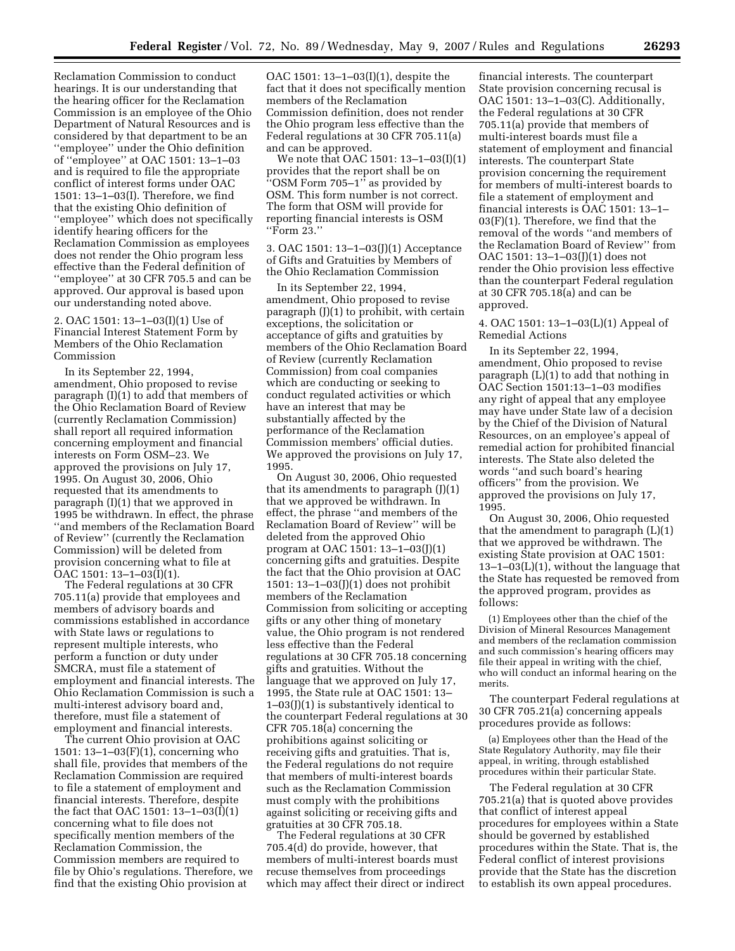Reclamation Commission to conduct hearings. It is our understanding that the hearing officer for the Reclamation Commission is an employee of the Ohio Department of Natural Resources and is considered by that department to be an ''employee'' under the Ohio definition of ''employee'' at OAC 1501: 13–1–03 and is required to file the appropriate conflict of interest forms under OAC 1501: 13–1–03(I). Therefore, we find that the existing Ohio definition of ''employee'' which does not specifically identify hearing officers for the Reclamation Commission as employees does not render the Ohio program less effective than the Federal definition of ''employee'' at 30 CFR 705.5 and can be approved. Our approval is based upon our understanding noted above.

2. OAC 1501: 13–1–03(I)(1) Use of Financial Interest Statement Form by Members of the Ohio Reclamation Commission

In its September 22, 1994, amendment, Ohio proposed to revise paragraph (I)(1) to add that members of the Ohio Reclamation Board of Review (currently Reclamation Commission) shall report all required information concerning employment and financial interests on Form OSM–23. We approved the provisions on July 17, 1995. On August 30, 2006, Ohio requested that its amendments to paragraph (I)(1) that we approved in 1995 be withdrawn. In effect, the phrase ''and members of the Reclamation Board of Review'' (currently the Reclamation Commission) will be deleted from provision concerning what to file at  $OAC 1501: 13 - 1 - 03(1)(1)$ .

The Federal regulations at 30 CFR 705.11(a) provide that employees and members of advisory boards and commissions established in accordance with State laws or regulations to represent multiple interests, who perform a function or duty under SMCRA, must file a statement of employment and financial interests. The Ohio Reclamation Commission is such a multi-interest advisory board and, therefore, must file a statement of employment and financial interests.

The current Ohio provision at OAC 1501: 13–1–03(F)(1), concerning who shall file, provides that members of the Reclamation Commission are required to file a statement of employment and financial interests. Therefore, despite the fact that OAC 1501: 13–1–03(I)(1) concerning what to file does not specifically mention members of the Reclamation Commission, the Commission members are required to file by Ohio's regulations. Therefore, we find that the existing Ohio provision at

OAC 1501: 13–1–03(I)(1), despite the fact that it does not specifically mention members of the Reclamation Commission definition, does not render the Ohio program less effective than the Federal regulations at 30 CFR 705.11(a) and can be approved.

We note that OAC 1501: 13–1–03(I)(1) provides that the report shall be on ''OSM Form 705–1'' as provided by OSM. This form number is not correct. The form that OSM will provide for reporting financial interests is OSM ''Form 23.''

3. OAC 1501: 13–1–03(J)(1) Acceptance of Gifts and Gratuities by Members of the Ohio Reclamation Commission

In its September 22, 1994, amendment, Ohio proposed to revise paragraph (J)(1) to prohibit, with certain exceptions, the solicitation or acceptance of gifts and gratuities by members of the Ohio Reclamation Board of Review (currently Reclamation Commission) from coal companies which are conducting or seeking to conduct regulated activities or which have an interest that may be substantially affected by the performance of the Reclamation Commission members' official duties. We approved the provisions on July 17, 1995.

On August 30, 2006, Ohio requested that its amendments to paragraph (J)(1) that we approved be withdrawn. In effect, the phrase ''and members of the Reclamation Board of Review'' will be deleted from the approved Ohio program at OAC 1501: 13–1–03(J)(1) concerning gifts and gratuities. Despite the fact that the Ohio provision at OAC 1501: 13–1–03(J)(1) does not prohibit members of the Reclamation Commission from soliciting or accepting gifts or any other thing of monetary value, the Ohio program is not rendered less effective than the Federal regulations at 30 CFR 705.18 concerning gifts and gratuities. Without the language that we approved on July 17, 1995, the State rule at OAC 1501: 13–  $1-03$ (J)(1) is substantively identical to the counterpart Federal regulations at 30 CFR 705.18(a) concerning the prohibitions against soliciting or receiving gifts and gratuities. That is, the Federal regulations do not require that members of multi-interest boards such as the Reclamation Commission must comply with the prohibitions against soliciting or receiving gifts and gratuities at 30 CFR 705.18.

The Federal regulations at 30 CFR 705.4(d) do provide, however, that members of multi-interest boards must recuse themselves from proceedings which may affect their direct or indirect

financial interests. The counterpart State provision concerning recusal is OAC 1501: 13–1–03(C). Additionally, the Federal regulations at 30 CFR 705.11(a) provide that members of multi-interest boards must file a statement of employment and financial interests. The counterpart State provision concerning the requirement for members of multi-interest boards to file a statement of employment and financial interests is OAC 1501: 13–1– 03(F)(1). Therefore, we find that the removal of the words ''and members of the Reclamation Board of Review'' from OAC 1501: 13–1–03(J)(1) does not render the Ohio provision less effective than the counterpart Federal regulation at 30 CFR 705.18(a) and can be approved.

4. OAC 1501: 13–1–03(L)(1) Appeal of Remedial Actions

In its September 22, 1994, amendment, Ohio proposed to revise paragraph (L)(1) to add that nothing in OAC Section 1501:13–1–03 modifies any right of appeal that any employee may have under State law of a decision by the Chief of the Division of Natural Resources, on an employee's appeal of remedial action for prohibited financial interests. The State also deleted the words ''and such board's hearing officers'' from the provision. We approved the provisions on July 17, 1995.

On August 30, 2006, Ohio requested that the amendment to paragraph (L)(1) that we approved be withdrawn. The existing State provision at OAC 1501: 13–1–03(L)(1), without the language that the State has requested be removed from the approved program, provides as follows:

(1) Employees other than the chief of the Division of Mineral Resources Management and members of the reclamation commission and such commission's hearing officers may file their appeal in writing with the chief, who will conduct an informal hearing on the merits.

The counterpart Federal regulations at 30 CFR 705.21(a) concerning appeals procedures provide as follows:

(a) Employees other than the Head of the State Regulatory Authority, may file their appeal, in writing, through established procedures within their particular State.

The Federal regulation at 30 CFR 705.21(a) that is quoted above provides that conflict of interest appeal procedures for employees within a State should be governed by established procedures within the State. That is, the Federal conflict of interest provisions provide that the State has the discretion to establish its own appeal procedures.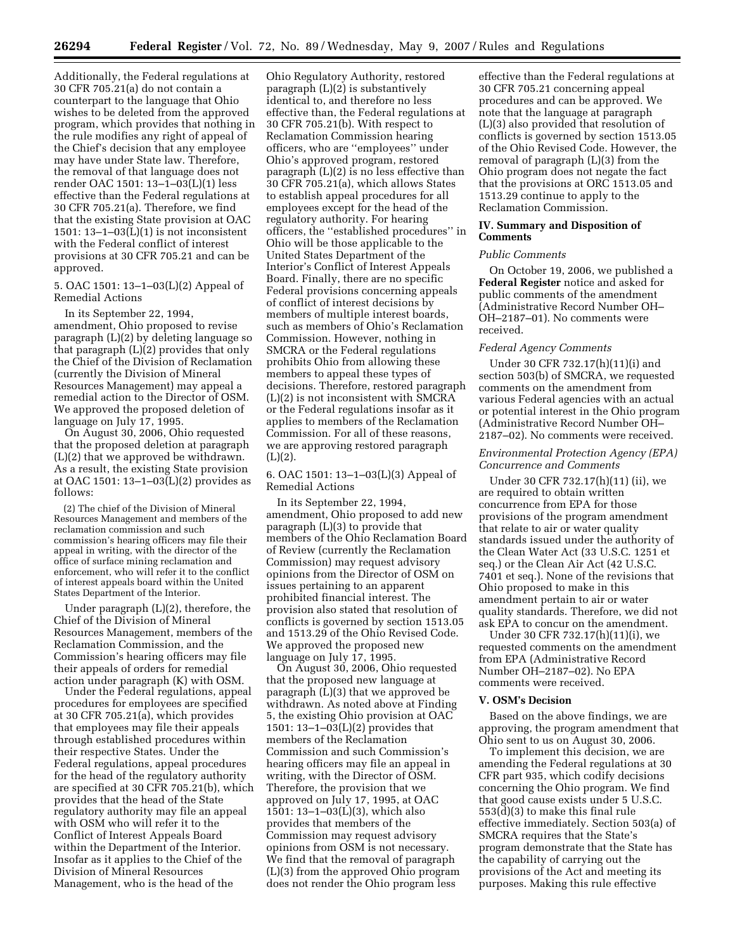Additionally, the Federal regulations at 30 CFR 705.21(a) do not contain a counterpart to the language that Ohio wishes to be deleted from the approved program, which provides that nothing in the rule modifies any right of appeal of the Chief's decision that any employee may have under State law. Therefore, the removal of that language does not render OAC 1501: 13–1–03(L)(1) less effective than the Federal regulations at 30 CFR 705.21(a). Therefore, we find that the existing State provision at OAC 1501: 13–1–03(L)(1) is not inconsistent with the Federal conflict of interest provisions at 30 CFR 705.21 and can be approved.

5. OAC 1501: 13–1–03(L)(2) Appeal of Remedial Actions

In its September 22, 1994, amendment, Ohio proposed to revise paragraph (L)(2) by deleting language so that paragraph (L)(2) provides that only the Chief of the Division of Reclamation (currently the Division of Mineral Resources Management) may appeal a remedial action to the Director of OSM. We approved the proposed deletion of language on July 17, 1995.

On August 30, 2006, Ohio requested that the proposed deletion at paragraph (L)(2) that we approved be withdrawn. As a result, the existing State provision at OAC 1501: 13–1–03(L)(2) provides as follows:

(2) The chief of the Division of Mineral Resources Management and members of the reclamation commission and such commission's hearing officers may file their appeal in writing, with the director of the office of surface mining reclamation and enforcement, who will refer it to the conflict of interest appeals board within the United States Department of the Interior.

Under paragraph (L)(2), therefore, the Chief of the Division of Mineral Resources Management, members of the Reclamation Commission, and the Commission's hearing officers may file their appeals of orders for remedial action under paragraph (K) with OSM.

Under the Federal regulations, appeal procedures for employees are specified at 30 CFR 705.21(a), which provides that employees may file their appeals through established procedures within their respective States. Under the Federal regulations, appeal procedures for the head of the regulatory authority are specified at 30 CFR 705.21(b), which provides that the head of the State regulatory authority may file an appeal with OSM who will refer it to the Conflict of Interest Appeals Board within the Department of the Interior. Insofar as it applies to the Chief of the Division of Mineral Resources Management, who is the head of the

Ohio Regulatory Authority, restored paragraph (L)(2) is substantively identical to, and therefore no less effective than, the Federal regulations at 30 CFR 705.21(b). With respect to Reclamation Commission hearing officers, who are ''employees'' under Ohio's approved program, restored paragraph (L)(2) is no less effective than 30 CFR 705.21(a), which allows States to establish appeal procedures for all employees except for the head of the regulatory authority. For hearing officers, the ''established procedures'' in Ohio will be those applicable to the United States Department of the Interior's Conflict of Interest Appeals Board. Finally, there are no specific Federal provisions concerning appeals of conflict of interest decisions by members of multiple interest boards, such as members of Ohio's Reclamation Commission. However, nothing in SMCRA or the Federal regulations prohibits Ohio from allowing these members to appeal these types of decisions. Therefore, restored paragraph (L)(2) is not inconsistent with SMCRA or the Federal regulations insofar as it applies to members of the Reclamation Commission. For all of these reasons, we are approving restored paragraph (L)(2).

# 6. OAC 1501: 13–1–03(L)(3) Appeal of Remedial Actions

In its September 22, 1994, amendment, Ohio proposed to add new paragraph (L)(3) to provide that members of the Ohio Reclamation Board of Review (currently the Reclamation Commission) may request advisory opinions from the Director of OSM on issues pertaining to an apparent prohibited financial interest. The provision also stated that resolution of conflicts is governed by section 1513.05 and 1513.29 of the Ohio Revised Code. We approved the proposed new language on July 17, 1995.

On August 30, 2006, Ohio requested that the proposed new language at paragraph (L)(3) that we approved be withdrawn. As noted above at Finding 5, the existing Ohio provision at OAC 1501: 13–1–03(L)(2) provides that members of the Reclamation Commission and such Commission's hearing officers may file an appeal in writing, with the Director of OSM. Therefore, the provision that we approved on July 17, 1995, at OAC 1501: 13–1–03(L)(3), which also provides that members of the Commission may request advisory opinions from OSM is not necessary. We find that the removal of paragraph (L)(3) from the approved Ohio program does not render the Ohio program less

effective than the Federal regulations at 30 CFR 705.21 concerning appeal procedures and can be approved. We note that the language at paragraph (L)(3) also provided that resolution of conflicts is governed by section 1513.05 of the Ohio Revised Code. However, the removal of paragraph (L)(3) from the Ohio program does not negate the fact that the provisions at ORC 1513.05 and 1513.29 continue to apply to the Reclamation Commission.

## **IV. Summary and Disposition of Comments**

### *Public Comments*

On October 19, 2006, we published a **Federal Register** notice and asked for public comments of the amendment (Administrative Record Number OH– OH–2187–01). No comments were received.

### *Federal Agency Comments*

Under 30 CFR 732.17(h)(11)(i) and section 503(b) of SMCRA, we requested comments on the amendment from various Federal agencies with an actual or potential interest in the Ohio program (Administrative Record Number OH– 2187–02). No comments were received.

## *Environmental Protection Agency (EPA) Concurrence and Comments*

Under 30 CFR 732.17(h)(11) (ii), we are required to obtain written concurrence from EPA for those provisions of the program amendment that relate to air or water quality standards issued under the authority of the Clean Water Act (33 U.S.C. 1251 et seq.) or the Clean Air Act (42 U.S.C. 7401 et seq.). None of the revisions that Ohio proposed to make in this amendment pertain to air or water quality standards. Therefore, we did not ask EPA to concur on the amendment.

Under 30 CFR 732.17(h)(11)(i), we requested comments on the amendment from EPA (Administrative Record Number OH–2187–02). No EPA comments were received.

## **V. OSM's Decision**

Based on the above findings, we are approving, the program amendment that Ohio sent to us on August 30, 2006.

To implement this decision, we are amending the Federal regulations at 30 CFR part 935, which codify decisions concerning the Ohio program. We find that good cause exists under 5 U.S.C. 553(d)(3) to make this final rule effective immediately. Section 503(a) of SMCRA requires that the State's program demonstrate that the State has the capability of carrying out the provisions of the Act and meeting its purposes. Making this rule effective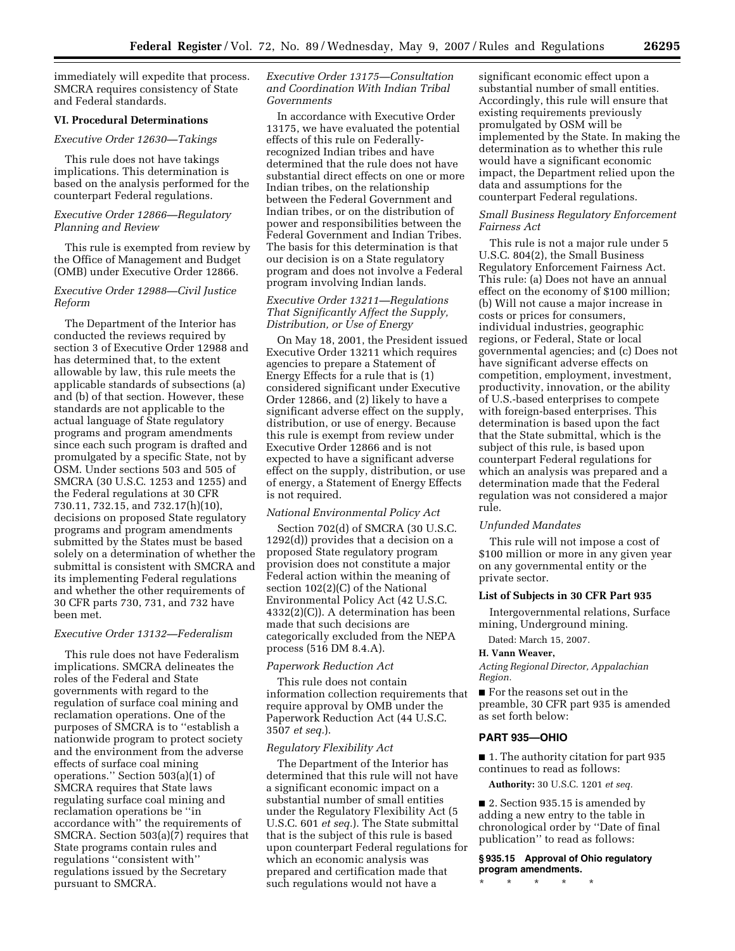immediately will expedite that process. SMCRA requires consistency of State and Federal standards.

### **VI. Procedural Determinations**

### *Executive Order 12630—Takings*

This rule does not have takings implications. This determination is based on the analysis performed for the counterpart Federal regulations.

## *Executive Order 12866—Regulatory Planning and Review*

This rule is exempted from review by the Office of Management and Budget (OMB) under Executive Order 12866.

# *Executive Order 12988—Civil Justice Reform*

The Department of the Interior has conducted the reviews required by section 3 of Executive Order 12988 and has determined that, to the extent allowable by law, this rule meets the applicable standards of subsections (a) and (b) of that section. However, these standards are not applicable to the actual language of State regulatory programs and program amendments since each such program is drafted and promulgated by a specific State, not by OSM. Under sections 503 and 505 of SMCRA (30 U.S.C. 1253 and 1255) and the Federal regulations at 30 CFR 730.11, 732.15, and 732.17(h)(10), decisions on proposed State regulatory programs and program amendments submitted by the States must be based solely on a determination of whether the submittal is consistent with SMCRA and its implementing Federal regulations and whether the other requirements of 30 CFR parts 730, 731, and 732 have been met.

# *Executive Order 13132—Federalism*

This rule does not have Federalism implications. SMCRA delineates the roles of the Federal and State governments with regard to the regulation of surface coal mining and reclamation operations. One of the purposes of SMCRA is to ''establish a nationwide program to protect society and the environment from the adverse effects of surface coal mining operations.'' Section 503(a)(1) of SMCRA requires that State laws regulating surface coal mining and reclamation operations be ''in accordance with'' the requirements of SMCRA. Section 503(a)(7) requires that State programs contain rules and regulations ''consistent with'' regulations issued by the Secretary pursuant to SMCRA.

# *Executive Order 13175—Consultation and Coordination With Indian Tribal Governments*

In accordance with Executive Order 13175, we have evaluated the potential effects of this rule on Federallyrecognized Indian tribes and have determined that the rule does not have substantial direct effects on one or more Indian tribes, on the relationship between the Federal Government and Indian tribes, or on the distribution of power and responsibilities between the Federal Government and Indian Tribes. The basis for this determination is that our decision is on a State regulatory program and does not involve a Federal program involving Indian lands.

## *Executive Order 13211—Regulations That Significantly Affect the Supply, Distribution, or Use of Energy*

On May 18, 2001, the President issued Executive Order 13211 which requires agencies to prepare a Statement of Energy Effects for a rule that is (1) considered significant under Executive Order 12866, and (2) likely to have a significant adverse effect on the supply, distribution, or use of energy. Because this rule is exempt from review under Executive Order 12866 and is not expected to have a significant adverse effect on the supply, distribution, or use of energy, a Statement of Energy Effects is not required.

# *National Environmental Policy Act*

Section 702(d) of SMCRA (30 U.S.C. 1292(d)) provides that a decision on a proposed State regulatory program provision does not constitute a major Federal action within the meaning of section 102(2)(C) of the National Environmental Policy Act (42 U.S.C. 4332(2)(C)). A determination has been made that such decisions are categorically excluded from the NEPA process (516 DM 8.4.A).

## *Paperwork Reduction Act*

This rule does not contain information collection requirements that require approval by OMB under the Paperwork Reduction Act (44 U.S.C. 3507 *et seq.*).

### *Regulatory Flexibility Act*

The Department of the Interior has determined that this rule will not have a significant economic impact on a substantial number of small entities under the Regulatory Flexibility Act (5 U.S.C. 601 *et seq.*). The State submittal that is the subject of this rule is based upon counterpart Federal regulations for which an economic analysis was prepared and certification made that such regulations would not have a

significant economic effect upon a substantial number of small entities. Accordingly, this rule will ensure that existing requirements previously promulgated by OSM will be implemented by the State. In making the determination as to whether this rule would have a significant economic impact, the Department relied upon the data and assumptions for the counterpart Federal regulations.

## *Small Business Regulatory Enforcement Fairness Act*

This rule is not a major rule under 5 U.S.C. 804(2), the Small Business Regulatory Enforcement Fairness Act. This rule: (a) Does not have an annual effect on the economy of \$100 million; (b) Will not cause a major increase in costs or prices for consumers, individual industries, geographic regions, or Federal, State or local governmental agencies; and (c) Does not have significant adverse effects on competition, employment, investment, productivity, innovation, or the ability of U.S.-based enterprises to compete with foreign-based enterprises. This determination is based upon the fact that the State submittal, which is the subject of this rule, is based upon counterpart Federal regulations for which an analysis was prepared and a determination made that the Federal regulation was not considered a major rule.

#### *Unfunded Mandates*

This rule will not impose a cost of \$100 million or more in any given year on any governmental entity or the private sector.

### **List of Subjects in 30 CFR Part 935**

Intergovernmental relations, Surface mining, Underground mining.

Dated: March 15, 2007.

### **H. Vann Weaver,**

*Acting Regional Director, Appalachian Region.* 

■ For the reasons set out in the preamble, 30 CFR part 935 is amended as set forth below:

### **PART 935—OHIO**

■ 1. The authority citation for part 935 continues to read as follows:

**Authority:** 30 U.S.C. 1201 *et seq.* 

■ 2. Section 935.15 is amended by adding a new entry to the table in chronological order by ''Date of final publication'' to read as follows:

# **§ 935.15 Approval of Ohio regulatory program amendments.**

\* \* \* \* \*